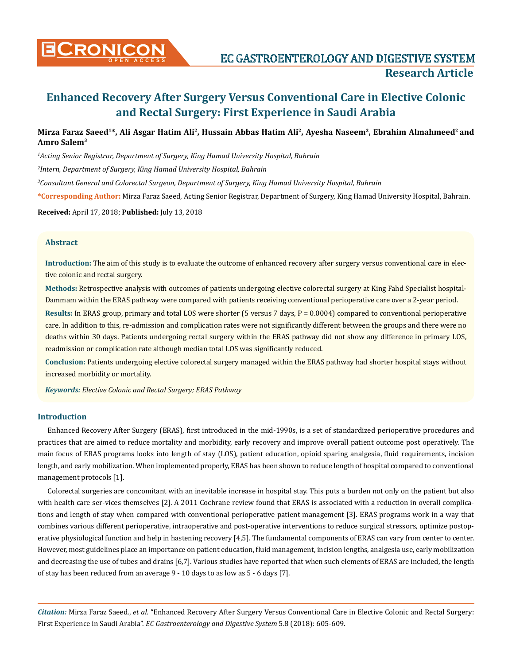

# **Enhanced Recovery After Surgery Versus Conventional Care in Elective Colonic and Rectal Surgery: First Experience in Saudi Arabia**

# **Mirza Faraz Saeed1\*, Ali Asgar Hatim Ali2, Hussain Abbas Hatim Ali2, Ayesha Naseem2, Ebrahim Almahmeed2 and Amro Salem3**

*1 Acting Senior Registrar, Department of Surgery, King Hamad University Hospital, Bahrain*

*2 Intern, Department of Surgery, King Hamad University Hospital, Bahrain*

*3 Consultant General and Colorectal Surgeon, Department of Surgery, King Hamad University Hospital, Bahrain* 

**\*Corresponding Author:** Mirza Faraz Saeed, Acting Senior Registrar, Department of Surgery, King Hamad University Hospital, Bahrain.

**Received:** April 17, 2018; **Published:** July 13, 2018

# **Abstract**

**Introduction:** The aim of this study is to evaluate the outcome of enhanced recovery after surgery versus conventional care in elective colonic and rectal surgery.

**Methods:** Retrospective analysis with outcomes of patients undergoing elective colorectal surgery at King Fahd Specialist hospital-Dammam within the ERAS pathway were compared with patients receiving conventional perioperative care over a 2-year period.

Results: In ERAS group, primary and total LOS were shorter (5 versus 7 days, P = 0.0004) compared to conventional perioperative care. In addition to this, re-admission and complication rates were not significantly different between the groups and there were no deaths within 30 days. Patients undergoing rectal surgery within the ERAS pathway did not show any difference in primary LOS, readmission or complication rate although median total LOS was significantly reduced.

**Conclusion:** Patients undergoing elective colorectal surgery managed within the ERAS pathway had shorter hospital stays without increased morbidity or mortality.

*Keywords: Elective Colonic and Rectal Surgery; ERAS Pathway*

## **Introduction**

Enhanced Recovery After Surgery (ERAS), first introduced in the mid-1990s, is a set of standardized perioperative procedures and practices that are aimed to reduce mortality and morbidity, early recovery and improve overall patient outcome post operatively. The main focus of ERAS programs looks into length of stay (LOS), patient education, opioid sparing analgesia, fluid requirements, incision length, and early mobilization. When implemented properly, ERAS has been shown to reduce length of hospital compared to conventional management protocols [1].

Colorectal surgeries are concomitant with an inevitable increase in hospital stay. This puts a burden not only on the patient but also with health care ser-vices themselves [2]. A 2011 Cochrane review found that ERAS is associated with a reduction in overall complications and length of stay when compared with conventional perioperative patient management [3]. ERAS programs work in a way that combines various different perioperative, intraoperative and post-operative interventions to reduce surgical stressors, optimize postoperative physiological function and help in hastening recovery [4,5]. The fundamental components of ERAS can vary from center to center. However, most guidelines place an importance on patient education, fluid management, incision lengths, analgesia use, early mobilization and decreasing the use of tubes and drains [6,7]. Various studies have reported that when such elements of ERAS are included, the length of stay has been reduced from an average 9 - 10 days to as low as 5 - 6 days [7].

*Citation:* Mirza Faraz Saeed., *et al*. "Enhanced Recovery After Surgery Versus Conventional Care in Elective Colonic and Rectal Surgery: First Experience in Saudi Arabia". *EC Gastroenterology and Digestive System* 5.8 (2018): 605-609.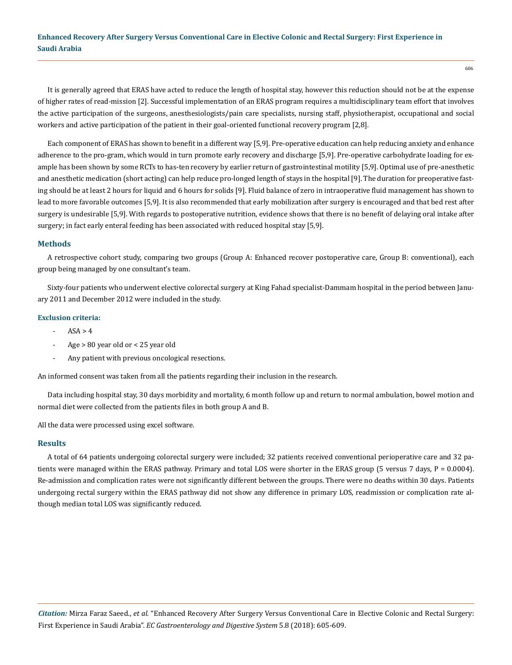# **Enhanced Recovery After Surgery Versus Conventional Care in Elective Colonic and Rectal Surgery: First Experience in Saudi Arabia**

It is generally agreed that ERAS have acted to reduce the length of hospital stay, however this reduction should not be at the expense of higher rates of read-mission [2]. Successful implementation of an ERAS program requires a multidisciplinary team effort that involves the active participation of the surgeons, anesthesiologists/pain care specialists, nursing staff, physiotherapist, occupational and social workers and active participation of the patient in their goal-oriented functional recovery program [2,8].

Each component of ERAS has shown to benefit in a different way [5,9]. Pre-operative education can help reducing anxiety and enhance adherence to the pro-gram, which would in turn promote early recovery and discharge [5,9]. Pre-operative carbohydrate loading for example has been shown by some RCTs to has-ten recovery by earlier return of gastrointestinal motility [5,9]. Optimal use of pre-anesthetic and anesthetic medication (short acting) can help reduce pro-longed length of stays in the hospital [9]. The duration for preoperative fasting should be at least 2 hours for liquid and 6 hours for solids [9]. Fluid balance of zero in intraoperative fluid management has shown to lead to more favorable outcomes [5,9]. It is also recommended that early mobilization after surgery is encouraged and that bed rest after surgery is undesirable [5,9]. With regards to postoperative nutrition, evidence shows that there is no benefit of delaying oral intake after surgery; in fact early enteral feeding has been associated with reduced hospital stay [5,9].

#### **Methods**

A retrospective cohort study, comparing two groups (Group A: Enhanced recover postoperative care, Group B: conventional), each group being managed by one consultant's team.

Sixty-four patients who underwent elective colorectal surgery at King Fahad specialist-Dammam hospital in the period between January 2011 and December 2012 were included in the study.

#### **Exclusion criteria:**

- $ASA > 4$
- Age > 80 year old or < 25 year old
- Any patient with previous oncological resections.

An informed consent was taken from all the patients regarding their inclusion in the research.

Data including hospital stay, 30 days morbidity and mortality, 6 month follow up and return to normal ambulation, bowel motion and normal diet were collected from the patients files in both group A and B.

All the data were processed using excel software.

#### **Results**

A total of 64 patients undergoing colorectal surgery were included; 32 patients received conventional perioperative care and 32 patients were managed within the ERAS pathway. Primary and total LOS were shorter in the ERAS group (5 versus 7 days, P = 0.0004). Re-admission and complication rates were not significantly different between the groups. There were no deaths within 30 days. Patients undergoing rectal surgery within the ERAS pathway did not show any difference in primary LOS, readmission or complication rate although median total LOS was significantly reduced.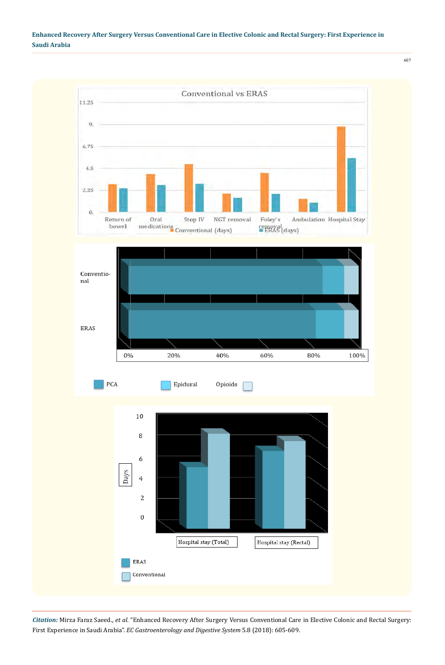



*Citation:* Mirza Faraz Saeed., *et al*. "Enhanced Recovery After Surgery Versus Conventional Care in Elective Colonic and Rectal Surgery: First Experience in Saudi Arabia". *EC Gastroenterology and Digestive System* 5.8 (2018): 605-609.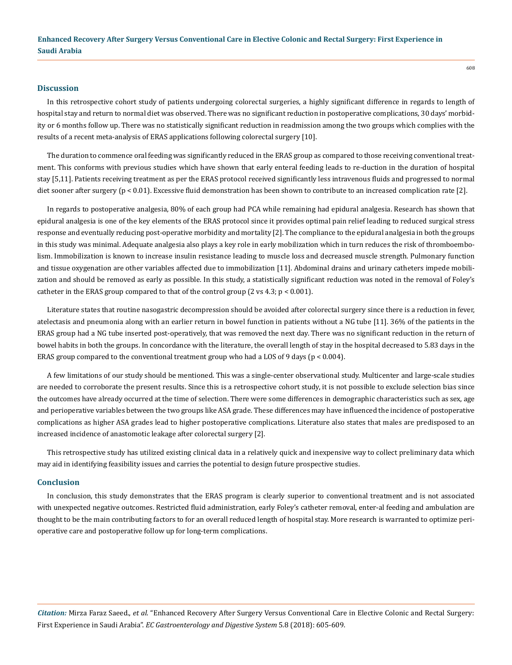#### **Discussion**

In this retrospective cohort study of patients undergoing colorectal surgeries, a highly significant difference in regards to length of hospital stay and return to normal diet was observed. There was no significant reduction in postoperative complications, 30 days' morbidity or 6 months follow up. There was no statistically significant reduction in readmission among the two groups which complies with the results of a recent meta-analysis of ERAS applications following colorectal surgery [10].

The duration to commence oral feeding was significantly reduced in the ERAS group as compared to those receiving conventional treatment. This conforms with previous studies which have shown that early enteral feeding leads to re-duction in the duration of hospital stay [5,11]. Patients receiving treatment as per the ERAS protocol received significantly less intravenous fluids and progressed to normal diet sooner after surgery (p < 0.01). Excessive fluid demonstration has been shown to contribute to an increased complication rate [2].

In regards to postoperative analgesia, 80% of each group had PCA while remaining had epidural analgesia. Research has shown that epidural analgesia is one of the key elements of the ERAS protocol since it provides optimal pain relief leading to reduced surgical stress response and eventually reducing post-operative morbidity and mortality [2]. The compliance to the epidural analgesia in both the groups in this study was minimal. Adequate analgesia also plays a key role in early mobilization which in turn reduces the risk of thromboembolism. Immobilization is known to increase insulin resistance leading to muscle loss and decreased muscle strength. Pulmonary function and tissue oxygenation are other variables affected due to immobilization [11]. Abdominal drains and urinary catheters impede mobilization and should be removed as early as possible. In this study, a statistically significant reduction was noted in the removal of Foley's catheter in the ERAS group compared to that of the control group  $(2 \text{ vs } 4.3; \text{ p} < 0.001)$ .

Literature states that routine nasogastric decompression should be avoided after colorectal surgery since there is a reduction in fever, atelectasis and pneumonia along with an earlier return in bowel function in patients without a NG tube [11]. 36% of the patients in the ERAS group had a NG tube inserted post-operatively, that was removed the next day. There was no significant reduction in the return of bowel habits in both the groups. In concordance with the literature, the overall length of stay in the hospital decreased to 5.83 days in the ERAS group compared to the conventional treatment group who had a LOS of 9 days ( $p < 0.004$ ).

A few limitations of our study should be mentioned. This was a single-center observational study. Multicenter and large-scale studies are needed to corroborate the present results. Since this is a retrospective cohort study, it is not possible to exclude selection bias since the outcomes have already occurred at the time of selection. There were some differences in demographic characteristics such as sex, age and perioperative variables between the two groups like ASA grade. These differences may have influenced the incidence of postoperative complications as higher ASA grades lead to higher postoperative complications. Literature also states that males are predisposed to an increased incidence of anastomotic leakage after colorectal surgery [2].

This retrospective study has utilized existing clinical data in a relatively quick and inexpensive way to collect preliminary data which may aid in identifying feasibility issues and carries the potential to design future prospective studies.

#### **Conclusion**

In conclusion, this study demonstrates that the ERAS program is clearly superior to conventional treatment and is not associated with unexpected negative outcomes. Restricted fluid administration, early Foley's catheter removal, enter-al feeding and ambulation are thought to be the main contributing factors to for an overall reduced length of hospital stay. More research is warranted to optimize perioperative care and postoperative follow up for long-term complications.

*Citation:* Mirza Faraz Saeed., *et al*. "Enhanced Recovery After Surgery Versus Conventional Care in Elective Colonic and Rectal Surgery: First Experience in Saudi Arabia". *EC Gastroenterology and Digestive System* 5.8 (2018): 605-609.